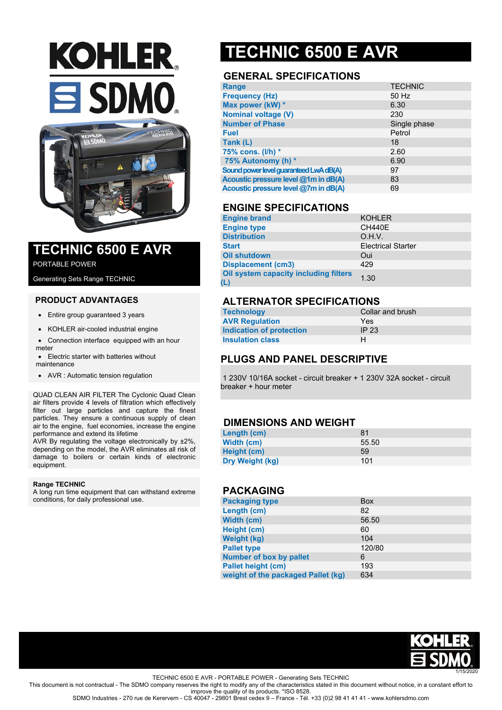# **KOHLER SDMO**



### **TECHNIC 6500 E AVR**

PORTABLE POWER

Generating Sets Range TECHNIC

#### **PRODUCT ADVANTAGES**

- Entire group quaranteed 3 years
- KOHLER air-cooled industrial engine
- Connection interface equipped with an hour meter

 Electric starter with batteries without maintenance

AVR : Automatic tension regulation

QUAD CLEAN AIR FILTER The Cyclonic Quad Clean air filters provide 4 levels of filtration which effectively filter out large particles and capture the finest particles. They ensure a continuous supply of clean air to the engine, fuel economies, increase the engine performance and extend its lifetime

AVR By regulating the voltage electronically by ±2%, depending on the model, the AVR eliminates all risk of damage to boilers or certain kinds of electronic equipment.

#### **Range TECHNIC**

A long run time equipment that can withstand extreme conditions, for daily professional use.

## **TECHNIC 6500 E AVR**

#### **GENERAL SPECIFICATIONS**

| <b>Range</b>                           | <b>TECHNIC</b> |
|----------------------------------------|----------------|
| <b>Frequency (Hz)</b>                  | 50 Hz          |
| Max power (kW) *                       | 6.30           |
| <b>Nominal voltage (V)</b>             | 230            |
| <b>Number of Phase</b>                 | Single phase   |
| <b>Fuel</b>                            | Petrol         |
| Tank (L)                               | 18             |
| 75% cons. (I/h) *                      | 2.60           |
| 75% Autonomy (h) *                     | 6.90           |
| Sound power level guaranteed LwA dB(A) | 97             |
| Acoustic pressure level @1m in dB(A)   | 83             |
| Acoustic pressure level @7m in dB(A)   | 69             |

#### **ENGINE SPECIFICATIONS**

| <b>Engine brand</b>                   | <b>KOHLER</b>             |
|---------------------------------------|---------------------------|
| <b>Engine type</b>                    | <b>CH440E</b>             |
| <b>Distribution</b>                   | O.H.V.                    |
| <b>Start</b>                          | <b>Electrical Starter</b> |
| <b>Oil shutdown</b>                   | Oui                       |
| <b>Displacement (cm3)</b>             | 429                       |
| Oil system capacity including filters | 1.30                      |

#### **ALTERNATOR SPECIFICATIONS**

| <b>Technology</b>        | Collar and brush |
|--------------------------|------------------|
| <b>AVR Regulation</b>    | Yes              |
| Indication of protection | IP 23            |
| <b>Insulation class</b>  | н                |

#### **PLUGS AND PANEL DESCRIPTIVE**

1 230V 10/16A socket - circuit breaker + 1 230V 32A socket - circuit breaker + hour meter

#### **DIMENSIONS AND WEIGHT**

| Length (cm)     | 81    |
|-----------------|-------|
| Width (cm)      | 55.50 |
| Height (cm)     | 59    |
| Dry Weight (kg) | 101   |

#### **PACKAGING**

| <b>Packaging type</b>              | <b>Box</b> |
|------------------------------------|------------|
| Length (cm)                        | 82         |
| Width (cm)                         | 56.50      |
| Height (cm)                        | 60         |
| <b>Weight (kg)</b>                 | 104        |
| <b>Pallet type</b>                 | 120/80     |
| <b>Number of box by pallet</b>     | 6          |
| <b>Pallet height (cm)</b>          | 193        |
| weight of the packaged Pallet (kg) | 634        |



TECHNIC 6500 E AVR - PORTABLE POWER - Generating Sets TECHNIC

This document is not contractual - The SDMO company reserves the right to modify any of the characteristics stated in this document without notice, in a constant effort to improve the quality of its products. \*ISO 8528.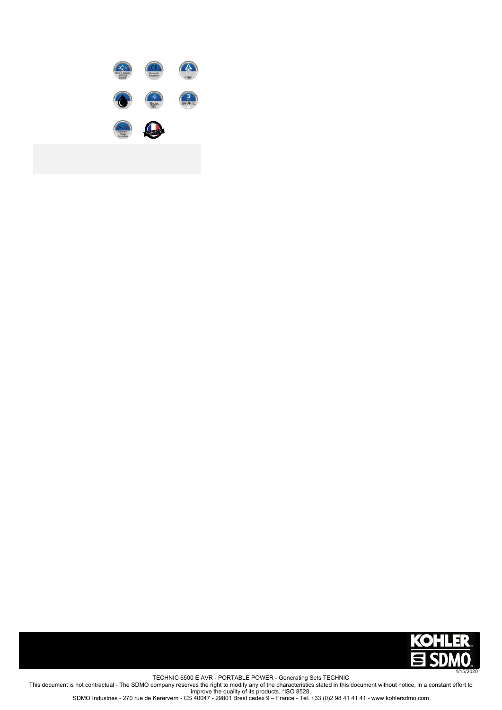



1/15/2020 TECHNIC 6500 E AVR - PORTABLE POWER - Generating Sets TECHNIC This document is not contractual - The SDMO company reserves the right to modify any of the characteristics stated in this document without notice, in a constant effort to improve the quality of its products. \*ISO 8528. SDMO Industries - 270 rue de Kerervern - CS 40047 - 29801 Brest cedex 9 – France - Tél. +33 (0)2 98 41 41 41 - www.kohlersdmo.com